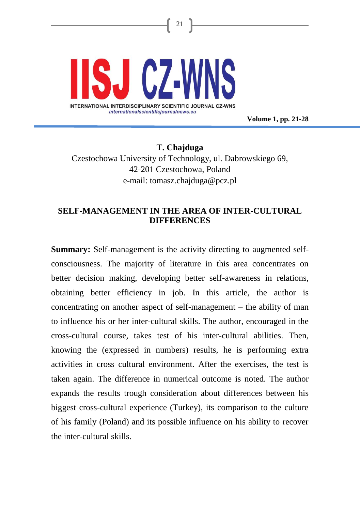

**Volume 1, pp. 21-28**

**T. Chajduga** Czestochowa University of Technology, ul. Dabrowskiego 69, 42-201 Czestochowa, Poland e-mail: [tomasz.chajduga@pcz.pl](mailto:tomasz.chajduga@pcz.pl)

21

# **SELF-MANAGEMENT IN THE AREA OF INTER-CULTURAL DIFFERENCES**

**Summary:** Self-management is the activity directing to augmented selfconsciousness. The majority of literature in this area concentrates on better decision making, developing better self-awareness in relations, obtaining better efficiency in job. In this article, the author is concentrating on another aspect of self-management – the ability of man to influence his or her inter-cultural skills. The author, encouraged in the cross-cultural course, takes test of his inter-cultural abilities. Then, knowing the (expressed in numbers) results, he is performing extra activities in cross cultural environment. After the exercises, the test is taken again. The difference in numerical outcome is noted. The author expands the results trough consideration about differences between his biggest cross-cultural experience (Turkey), its comparison to the culture of his family (Poland) and its possible influence on his ability to recover the inter-cultural skills.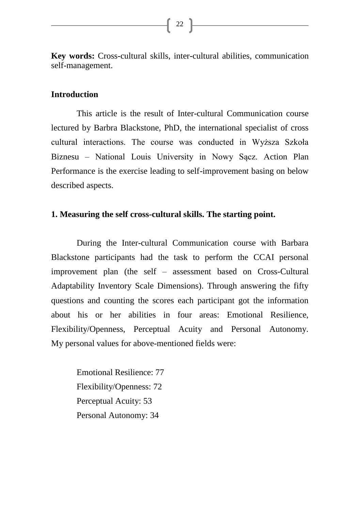**Key words:** Cross-cultural skills, inter-cultural abilities, communication self-management.

## **Introduction**

This article is the result of Inter-cultural Communication course lectured by Barbra Blackstone, PhD, the international specialist of cross cultural interactions. The course was conducted in Wyższa Szkoła Biznesu – National Louis University in Nowy Sącz. Action Plan Performance is the exercise leading to self-improvement basing on below described aspects.

## **1. Measuring the self cross-cultural skills. The starting point.**

During the Inter-cultural Communication course with Barbara Blackstone participants had the task to perform the CCAI personal improvement plan (the self – assessment based on Cross-Cultural Adaptability Inventory Scale Dimensions). Through answering the fifty questions and counting the scores each participant got the information about his or her abilities in four areas: Emotional Resilience, Flexibility/Openness, Perceptual Acuity and Personal Autonomy. My personal values for above-mentioned fields were:

Emotional Resilience: 77 Flexibility/Openness: 72 Perceptual Acuity: 53 Personal Autonomy: 34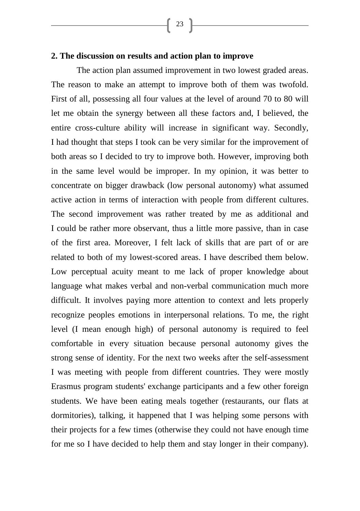# **2. The discussion on results and action plan to improve**

The action plan assumed improvement in two lowest graded areas. The reason to make an attempt to improve both of them was twofold. First of all, possessing all four values at the level of around 70 to 80 will let me obtain the synergy between all these factors and, I believed, the entire cross-culture ability will increase in significant way. Secondly, I had thought that steps I took can be very similar for the improvement of both areas so I decided to try to improve both. However, improving both in the same level would be improper. In my opinion, it was better to concentrate on bigger drawback (low personal autonomy) what assumed active action in terms of interaction with people from different cultures. The second improvement was rather treated by me as additional and I could be rather more observant, thus a little more passive, than in case of the first area. Moreover, I felt lack of skills that are part of or are related to both of my lowest-scored areas. I have described them below. Low perceptual acuity meant to me lack of proper knowledge about language what makes verbal and non-verbal communication much more difficult. It involves paying more attention to context and lets properly recognize peoples emotions in interpersonal relations. To me, the right level (I mean enough high) of personal autonomy is required to feel comfortable in every situation because personal autonomy gives the strong sense of identity. For the next two weeks after the self-assessment I was meeting with people from different countries. They were mostly Erasmus program students' exchange participants and a few other foreign students. We have been eating meals together (restaurants, our flats at dormitories), talking, it happened that I was helping some persons with their projects for a few times (otherwise they could not have enough time for me so I have decided to help them and stay longer in their company).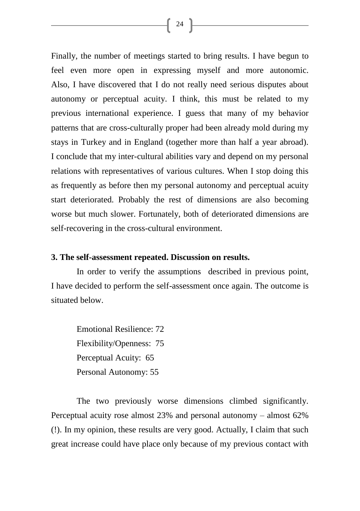Finally, the number of meetings started to bring results. I have begun to feel even more open in expressing myself and more autonomic. Also, I have discovered that I do not really need serious disputes about autonomy or perceptual acuity. I think, this must be related to my previous international experience. I guess that many of my behavior patterns that are cross-culturally proper had been already mold during my stays in Turkey and in England (together more than half a year abroad). I conclude that my inter-cultural abilities vary and depend on my personal relations with representatives of various cultures. When I stop doing this as frequently as before then my personal autonomy and perceptual acuity start deteriorated. Probably the rest of dimensions are also becoming worse but much slower. Fortunately, both of deteriorated dimensions are self-recovering in the cross-cultural environment.

#### **3. The self-assessment repeated. Discussion on results.**

In order to verify the assumptions described in previous point, I have decided to perform the self-assessment once again. The outcome is situated below.

Emotional Resilience: 72 Flexibility/Openness: 75 Perceptual Acuity: 65 Personal Autonomy: 55

The two previously worse dimensions climbed significantly. Perceptual acuity rose almost 23% and personal autonomy – almost 62% (!). In my opinion, these results are very good. Actually, I claim that such great increase could have place only because of my previous contact with

 $\begin{bmatrix} 24 \end{bmatrix}$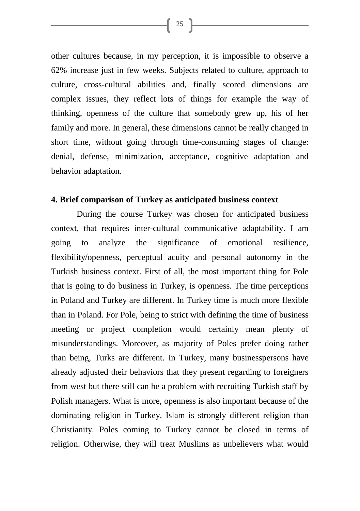other cultures because, in my perception, it is impossible to observe a 62% increase just in few weeks. Subjects related to culture, approach to culture, cross-cultural abilities and, finally scored dimensions are complex issues, they reflect lots of things for example the way of thinking, openness of the culture that somebody grew up, his of her family and more. In general, these dimensions cannot be really changed in short time, without going through time-consuming stages of change: denial, defense, minimization, acceptance, cognitive adaptation and behavior adaptation.

## **4. Brief comparison of Turkey as anticipated business context**

During the course Turkey was chosen for anticipated business context, that requires inter-cultural communicative adaptability. I am going to analyze the significance of emotional resilience, flexibility/openness, perceptual acuity and personal autonomy in the Turkish business context. First of all, the most important thing for Pole that is going to do business in Turkey, is openness. The time perceptions in Poland and Turkey are different. In Turkey time is much more flexible than in Poland. For Pole, being to strict with defining the time of business meeting or project completion would certainly mean plenty of misunderstandings. Moreover, as majority of Poles prefer doing rather than being, Turks are different. In Turkey, many businesspersons have already adjusted their behaviors that they present regarding to foreigners from west but there still can be a problem with recruiting Turkish staff by Polish managers. What is more, openness is also important because of the dominating religion in Turkey. Islam is strongly different religion than Christianity. Poles coming to Turkey cannot be closed in terms of religion. Otherwise, they will treat Muslims as unbelievers what would

 $\begin{bmatrix} 25 \end{bmatrix}$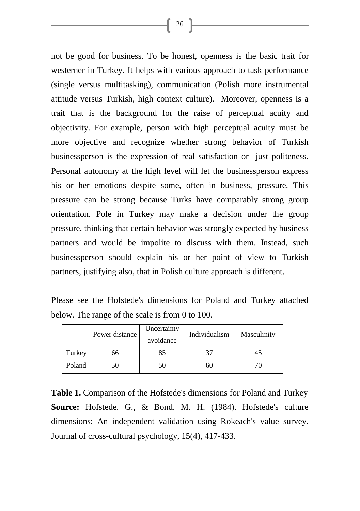not be good for business. To be honest, openness is the basic trait for westerner in Turkey. It helps with various approach to task performance (single versus multitasking), communication (Polish more instrumental attitude versus Turkish, high context culture). Moreover, openness is a trait that is the background for the raise of perceptual acuity and objectivity. For example, person with high perceptual acuity must be more objective and recognize whether strong behavior of Turkish businessperson is the expression of real satisfaction or just politeness. Personal autonomy at the high level will let the businessperson express his or her emotions despite some, often in business, pressure. This pressure can be strong because Turks have comparably strong group orientation. Pole in Turkey may make a decision under the group pressure, thinking that certain behavior was strongly expected by business partners and would be impolite to discuss with them. Instead, such businessperson should explain his or her point of view to Turkish partners, justifying also, that in Polish culture approach is different.

Please see the Hofstede's dimensions for Poland and Turkey attached below. The range of the scale is from 0 to 100.

|        | Power distance | Uncertainty<br>avoidance | Individualism | Masculinity |
|--------|----------------|--------------------------|---------------|-------------|
| Turkey | 66             | 85                       | 37            | 45          |
| Poland | 50             | 50                       | 60            |             |

**Table 1.** Comparison of the Hofstede's dimensions for Poland and Turkey **Source:** Hofstede, G., & Bond, M. H. (1984). Hofstede's culture dimensions: An independent validation using Rokeach's value survey. Journal of cross-cultural psychology, 15(4), 417-433.

 $26$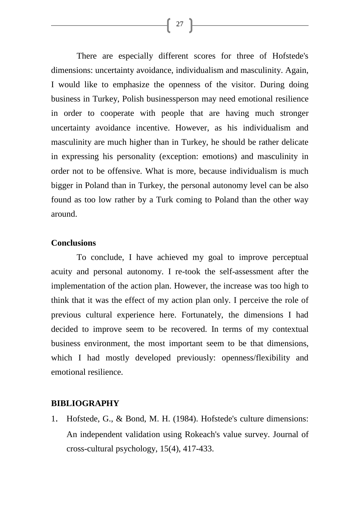There are especially different scores for three of Hofstede's dimensions: uncertainty avoidance, individualism and masculinity. Again, I would like to emphasize the openness of the visitor. During doing business in Turkey, Polish businessperson may need emotional resilience in order to cooperate with people that are having much stronger uncertainty avoidance incentive. However, as his individualism and masculinity are much higher than in Turkey, he should be rather delicate in expressing his personality (exception: emotions) and masculinity in order not to be offensive. What is more, because individualism is much bigger in Poland than in Turkey, the personal autonomy level can be also found as too low rather by a Turk coming to Poland than the other way around.

#### **Conclusions**

To conclude, I have achieved my goal to improve perceptual acuity and personal autonomy. I re-took the self-assessment after the implementation of the action plan. However, the increase was too high to think that it was the effect of my action plan only. I perceive the role of previous cultural experience here. Fortunately, the dimensions I had decided to improve seem to be recovered. In terms of my contextual business environment, the most important seem to be that dimensions, which I had mostly developed previously: openness/flexibility and emotional resilience.

# **BIBLIOGRAPHY**

1. Hofstede, G., & Bond, M. H. (1984). Hofstede's culture dimensions: An independent validation using Rokeach's value survey. Journal of cross-cultural psychology, 15(4), 417-433.

 $\left\{ \begin{array}{c} 27 \end{array} \right\}$